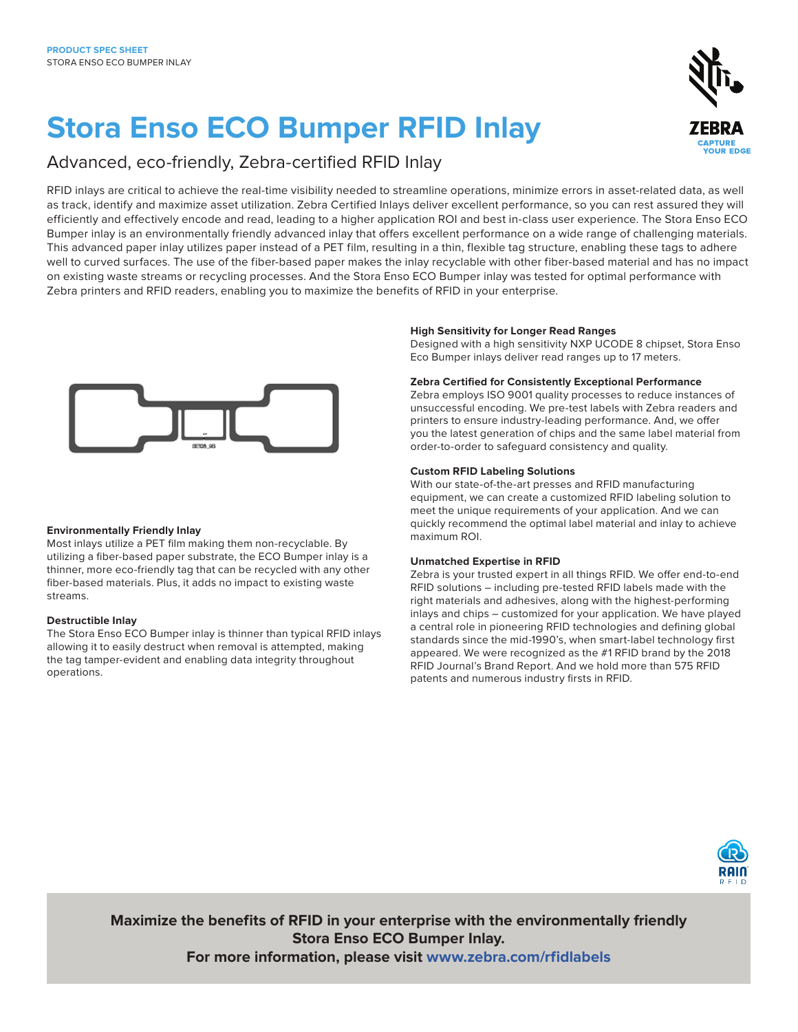# **Stora Enso ECO Bumper RFID Inlay**

### Advanced, eco-friendly, Zebra-certified RFID Inlay

RFID inlays are critical to achieve the real-time visibility needed to streamline operations, minimize errors in asset-related data, as well as track, identify and maximize asset utilization. Zebra Certified Inlays deliver excellent performance, so you can rest assured they will efficiently and effectively encode and read, leading to a higher application ROI and best in-class user experience. The Stora Enso ECO Bumper inlay is an environmentally friendly advanced inlay that offers excellent performance on a wide range of challenging materials. This advanced paper inlay utilizes paper instead of a PET film, resulting in a thin, flexible tag structure, enabling these tags to adhere well to curved surfaces. The use of the fiber-based paper makes the inlay recyclable with other fiber-based material and has no impact on existing waste streams or recycling processes. And the Stora Enso ECO Bumper inlay was tested for optimal performance with Zebra printers and RFID readers, enabling you to maximize the benefits of RFID in your enterprise.



#### **Environmentally Friendly Inlay**

Most inlays utilize a PET film making them non-recyclable. By utilizing a fiber-based paper substrate, the ECO Bumper inlay is a thinner, more eco-friendly tag that can be recycled with any other fiber-based materials. Plus, it adds no impact to existing waste streams.

#### **Destructible Inlay**

The Stora Enso ECO Bumper inlay is thinner than typical RFID inlays allowing it to easily destruct when removal is attempted, making the tag tamper-evident and enabling data integrity throughout operations.

#### **High Sensitivity for Longer Read Ranges**

Designed with a high sensitivity NXP UCODE 8 chipset, Stora Enso Eco Bumper inlays deliver read ranges up to 17 meters.

#### **Zebra Certified for Consistently Exceptional Performance**

Zebra employs ISO 9001 quality processes to reduce instances of unsuccessful encoding. We pre-test labels with Zebra readers and printers to ensure industry-leading performance. And, we offer you the latest generation of chips and the same label material from order-to-order to safeguard consistency and quality.

#### **Custom RFID Labeling Solutions**

With our state-of-the-art presses and RFID manufacturing equipment, we can create a customized RFID labeling solution to meet the unique requirements of your application. And we can quickly recommend the optimal label material and inlay to achieve maximum ROI.

#### **Unmatched Expertise in RFID**

Zebra is your trusted expert in all things RFID. We offer end-to-end RFID solutions – including pre-tested RFID labels made with the right materials and adhesives, along with the highest-performing inlays and chips – customized for your application. We have played a central role in pioneering RFID technologies and defining global standards since the mid-1990's, when smart-label technology first appeared. We were recognized as the #1 RFID brand by the 2018 RFID Journal's Brand Report. And we hold more than 575 RFID patents and numerous industry firsts in RFID.



 $\sum_{i=1}^{n}$ 

**Maximize the benefits of RFID in your enterprise with the environmentally friendly Stora Enso ECO Bumper Inlay. For more information, please visit [www.zebra.com/](http://www.zebra.com/rfidlabels)rfidlabels**